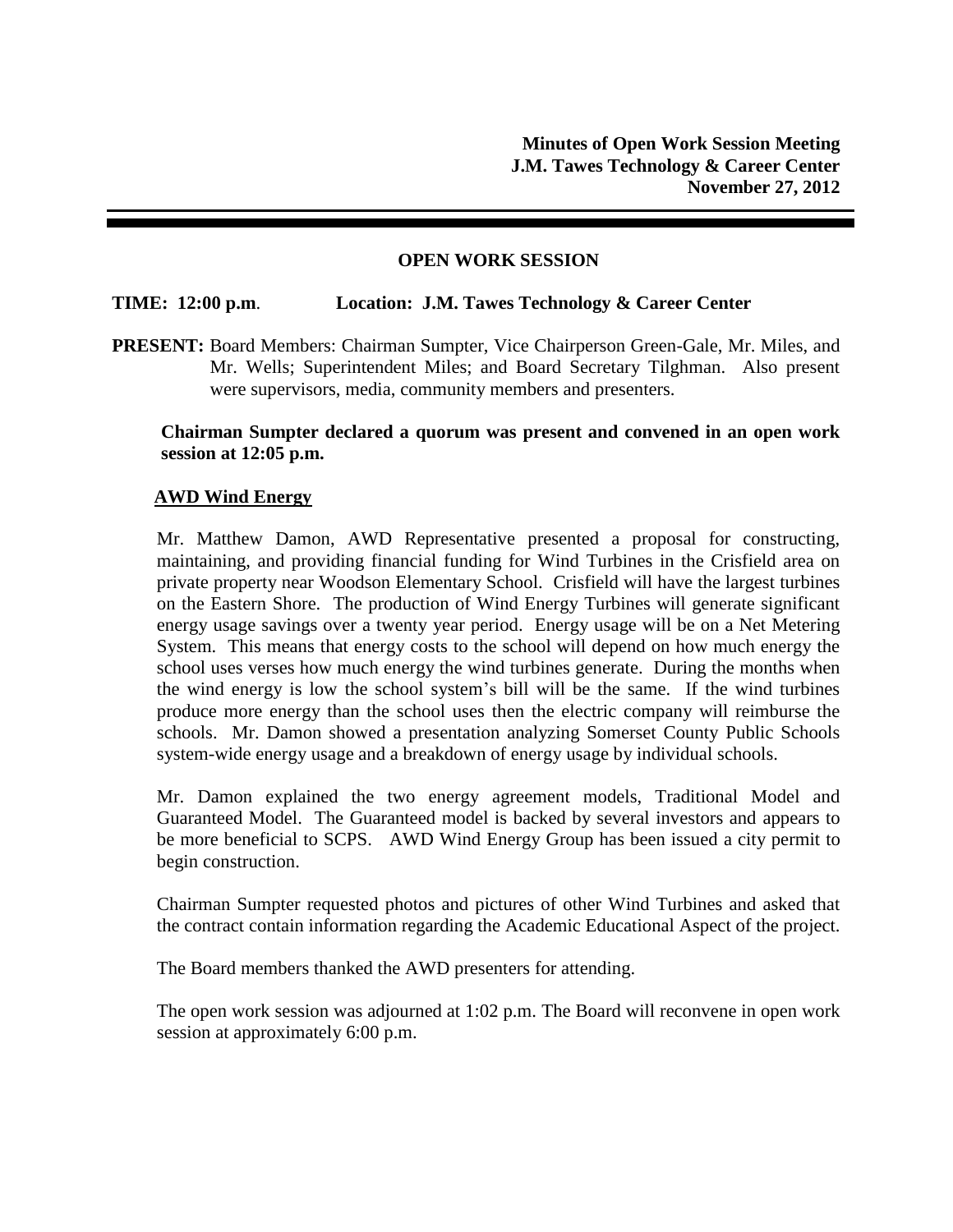### **OPEN WORK SESSION**

# **TIME: 12:00 p.m**. **Location: J.M. Tawes Technology & Career Center**

**PRESENT:** Board Members: Chairman Sumpter, Vice Chairperson Green-Gale, Mr. Miles, and Mr. Wells; Superintendent Miles; and Board Secretary Tilghman. Also present were supervisors, media, community members and presenters.

### **Chairman Sumpter declared a quorum was present and convened in an open work session at 12:05 p.m.**

# **AWD Wind Energy**

Mr. Matthew Damon, AWD Representative presented a proposal for constructing, maintaining, and providing financial funding for Wind Turbines in the Crisfield area on private property near Woodson Elementary School. Crisfield will have the largest turbines on the Eastern Shore. The production of Wind Energy Turbines will generate significant energy usage savings over a twenty year period. Energy usage will be on a Net Metering System. This means that energy costs to the school will depend on how much energy the school uses verses how much energy the wind turbines generate. During the months when the wind energy is low the school system's bill will be the same. If the wind turbines produce more energy than the school uses then the electric company will reimburse the schools. Mr. Damon showed a presentation analyzing Somerset County Public Schools system-wide energy usage and a breakdown of energy usage by individual schools.

Mr. Damon explained the two energy agreement models, Traditional Model and Guaranteed Model. The Guaranteed model is backed by several investors and appears to be more beneficial to SCPS. AWD Wind Energy Group has been issued a city permit to begin construction.

Chairman Sumpter requested photos and pictures of other Wind Turbines and asked that the contract contain information regarding the Academic Educational Aspect of the project.

The Board members thanked the AWD presenters for attending.

The open work session was adjourned at 1:02 p.m. The Board will reconvene in open work session at approximately 6:00 p.m.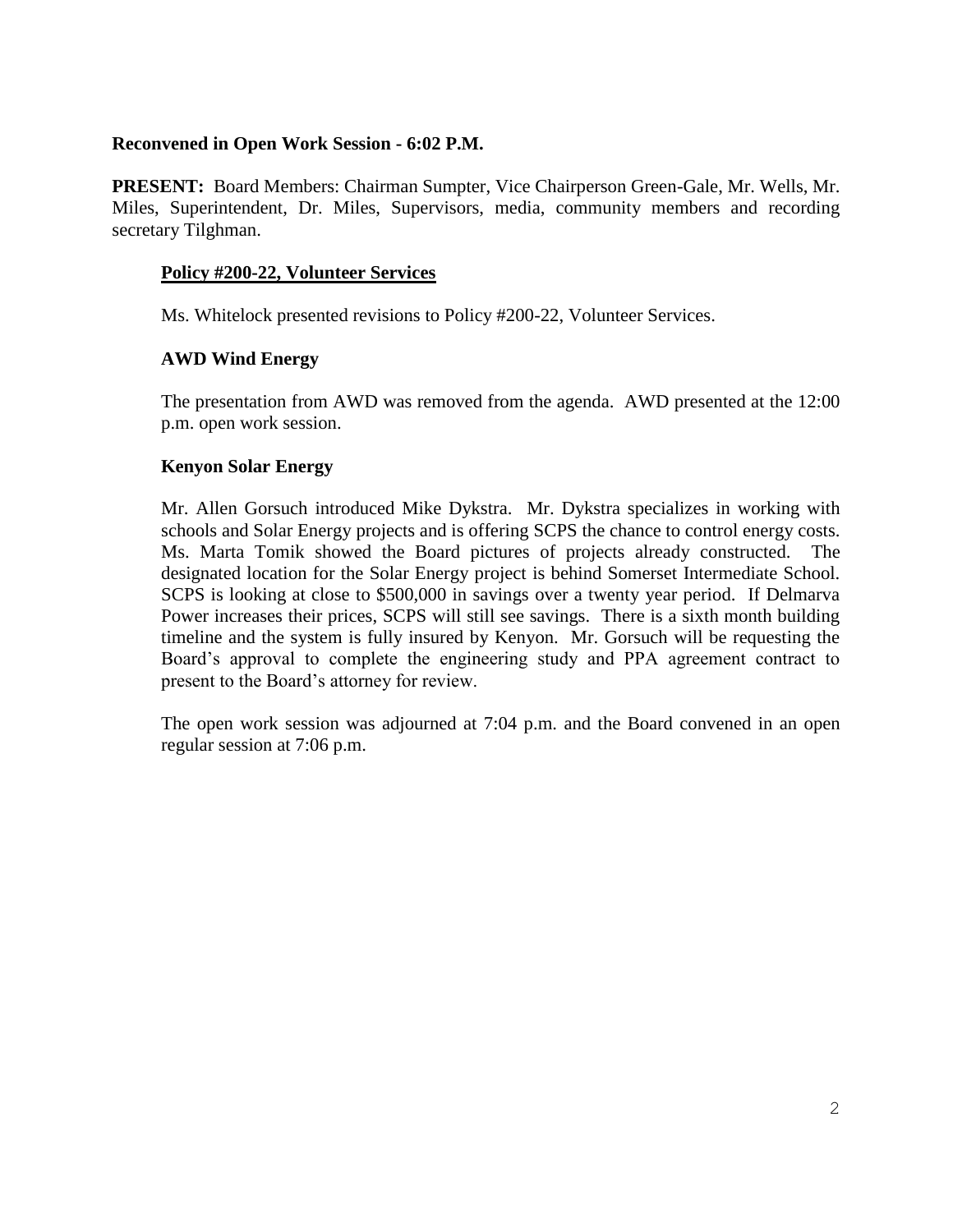### **Reconvened in Open Work Session - 6:02 P.M.**

**PRESENT:** Board Members: Chairman Sumpter, Vice Chairperson Green-Gale, Mr. Wells, Mr. Miles, Superintendent, Dr. Miles, Supervisors, media, community members and recording secretary Tilghman.

# **Policy #200-22, Volunteer Services**

Ms. Whitelock presented revisions to Policy #200-22, Volunteer Services.

# **AWD Wind Energy**

The presentation from AWD was removed from the agenda. AWD presented at the 12:00 p.m. open work session.

### **Kenyon Solar Energy**

Mr. Allen Gorsuch introduced Mike Dykstra. Mr. Dykstra specializes in working with schools and Solar Energy projects and is offering SCPS the chance to control energy costs. Ms. Marta Tomik showed the Board pictures of projects already constructed. The designated location for the Solar Energy project is behind Somerset Intermediate School. SCPS is looking at close to \$500,000 in savings over a twenty year period. If Delmarva Power increases their prices, SCPS will still see savings. There is a sixth month building timeline and the system is fully insured by Kenyon. Mr. Gorsuch will be requesting the Board's approval to complete the engineering study and PPA agreement contract to present to the Board's attorney for review.

The open work session was adjourned at 7:04 p.m. and the Board convened in an open regular session at 7:06 p.m.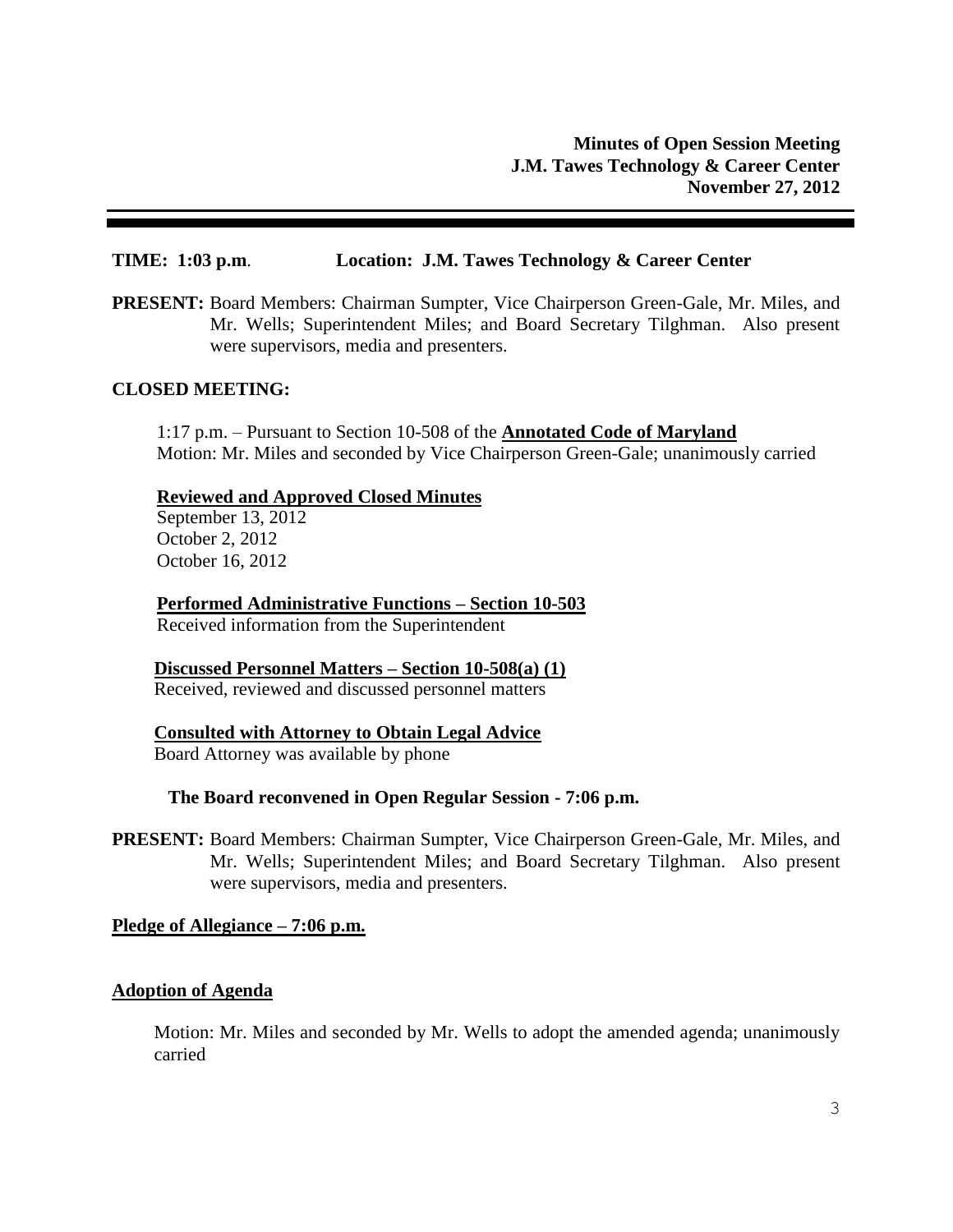### **TIME: 1:03 p.m**. **Location: J.M. Tawes Technology & Career Center**

**PRESENT:** Board Members: Chairman Sumpter, Vice Chairperson Green-Gale, Mr. Miles, and Mr. Wells; Superintendent Miles; and Board Secretary Tilghman. Also present were supervisors, media and presenters.

#### **CLOSED MEETING:**

1:17 p.m. – Pursuant to Section 10-508 of the **Annotated Code of Maryland** Motion: Mr. Miles and seconded by Vice Chairperson Green-Gale; unanimously carried

#### **Reviewed and Approved Closed Minutes**

September 13, 2012 October 2, 2012 October 16, 2012

**Performed Administrative Functions – Section 10-503** Received information from the Superintendent

### **Discussed Personnel Matters – Section 10-508(a) (1)**

Received, reviewed and discussed personnel matters

**Consulted with Attorney to Obtain Legal Advice** Board Attorney was available by phone

#### **The Board reconvened in Open Regular Session - 7:06 p.m.**

**PRESENT:** Board Members: Chairman Sumpter, Vice Chairperson Green-Gale, Mr. Miles, and Mr. Wells; Superintendent Miles; and Board Secretary Tilghman. Also present were supervisors, media and presenters.

**Pledge of Allegiance – 7:06 p.m.**

### **Adoption of Agenda**

Motion: Mr. Miles and seconded by Mr. Wells to adopt the amended agenda; unanimously carried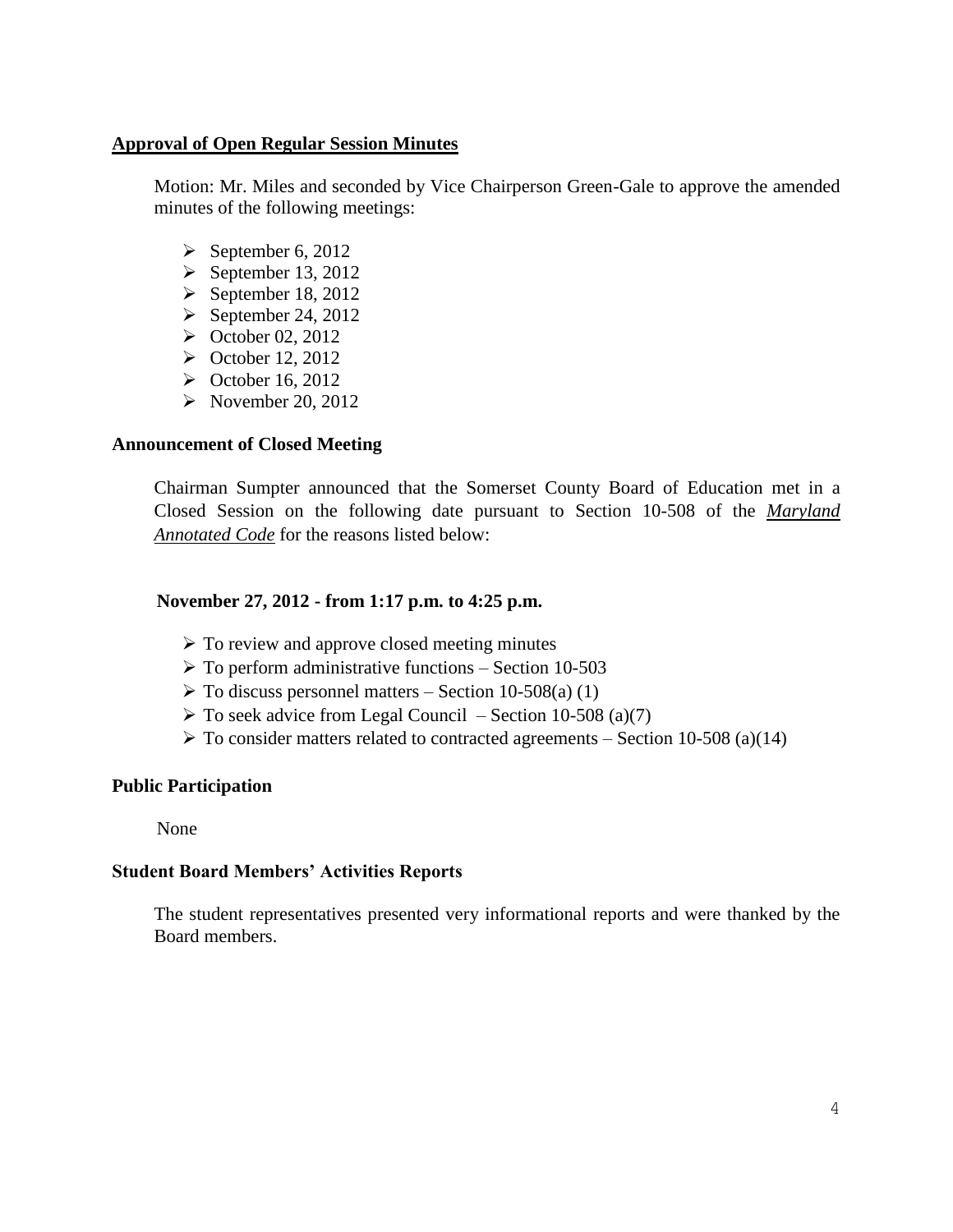### **Approval of Open Regular Session Minutes**

Motion: Mr. Miles and seconded by Vice Chairperson Green-Gale to approve the amended minutes of the following meetings:

- $\triangleright$  September 6, 2012
- $\blacktriangleright$  September 13, 2012
- $\triangleright$  September 18, 2012
- $\blacktriangleright$  September 24, 2012
- $\blacktriangleright$  October 02, 2012
- $\triangleright$  October 12, 2012
- $\blacktriangleright$  October 16, 2012
- $\triangleright$  November 20, 2012

### **Announcement of Closed Meeting**

Chairman Sumpter announced that the Somerset County Board of Education met in a Closed Session on the following date pursuant to Section 10-508 of the *Maryland Annotated Code* for the reasons listed below:

#### **November 27, 2012 - from 1:17 p.m. to 4:25 p.m.**

- $\triangleright$  To review and approve closed meeting minutes
- $\triangleright$  To perform administrative functions Section 10-503
- $\triangleright$  To discuss personnel matters Section 10-508(a) (1)
- $\triangleright$  To seek advice from Legal Council Section 10-508 (a)(7)
- $\triangleright$  To consider matters related to contracted agreements Section 10-508 (a)(14)

### **Public Participation**

None

# **Student Board Members' Activities Reports**

The student representatives presented very informational reports and were thanked by the Board members.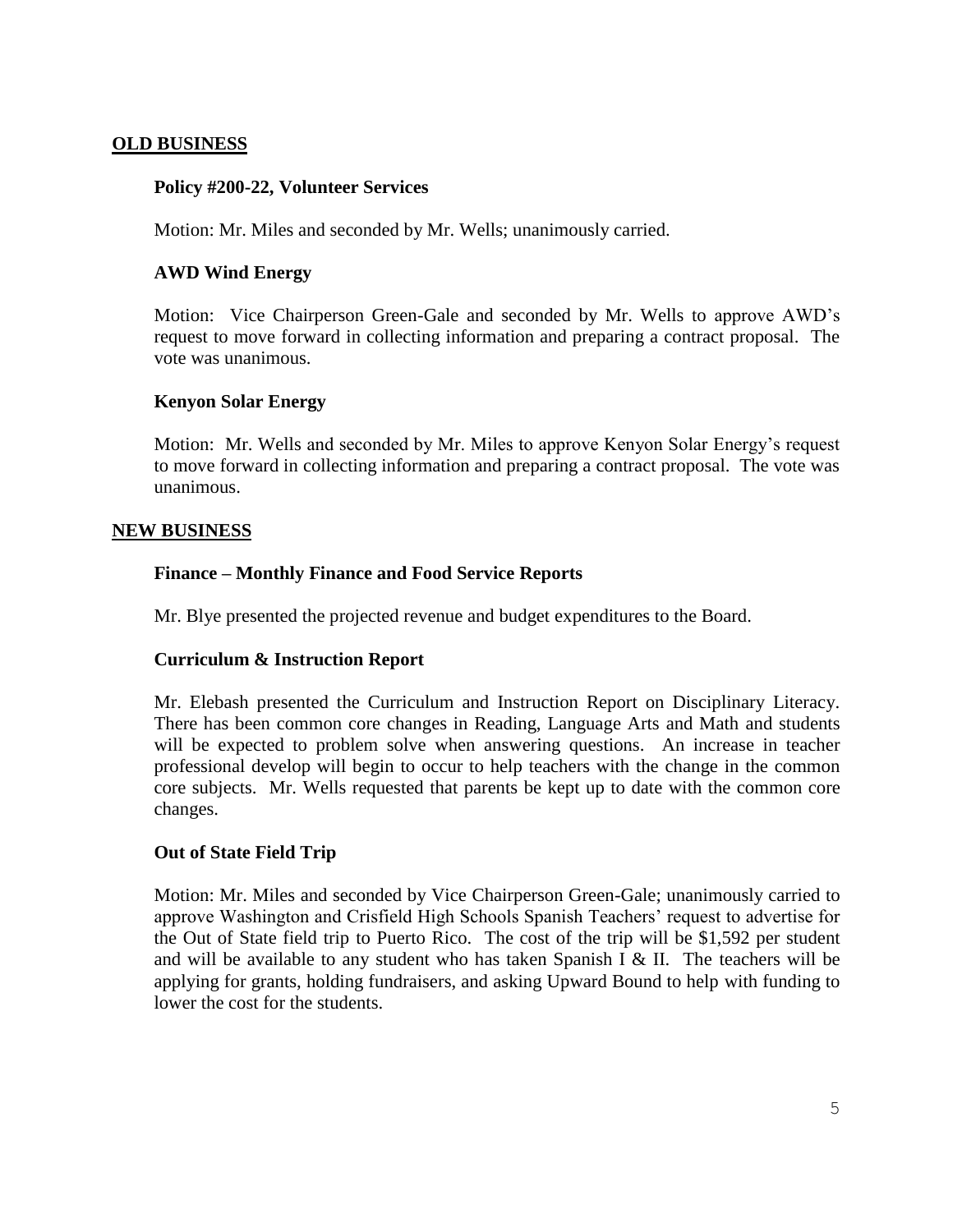### **OLD BUSINESS**

### **Policy #200-22, Volunteer Services**

Motion: Mr. Miles and seconded by Mr. Wells; unanimously carried.

### **AWD Wind Energy**

Motion: Vice Chairperson Green-Gale and seconded by Mr. Wells to approve AWD's request to move forward in collecting information and preparing a contract proposal. The vote was unanimous.

### **Kenyon Solar Energy**

Motion: Mr. Wells and seconded by Mr. Miles to approve Kenyon Solar Energy's request to move forward in collecting information and preparing a contract proposal. The vote was unanimous.

### **NEW BUSINESS**

# **Finance – Monthly Finance and Food Service Reports**

Mr. Blye presented the projected revenue and budget expenditures to the Board.

### **Curriculum & Instruction Report**

Mr. Elebash presented the Curriculum and Instruction Report on Disciplinary Literacy. There has been common core changes in Reading, Language Arts and Math and students will be expected to problem solve when answering questions. An increase in teacher professional develop will begin to occur to help teachers with the change in the common core subjects. Mr. Wells requested that parents be kept up to date with the common core changes.

### **Out of State Field Trip**

Motion: Mr. Miles and seconded by Vice Chairperson Green-Gale; unanimously carried to approve Washington and Crisfield High Schools Spanish Teachers' request to advertise for the Out of State field trip to Puerto Rico. The cost of the trip will be \$1,592 per student and will be available to any student who has taken Spanish I  $&$  II. The teachers will be applying for grants, holding fundraisers, and asking Upward Bound to help with funding to lower the cost for the students.